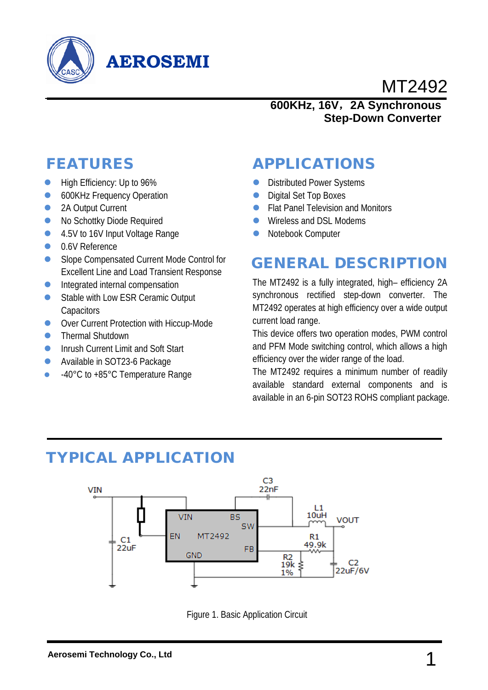

# **AEROSEMI**

# MT2492

#### **600KHz, 16V**,**2A Synchronous Step-Down Converter**

## FEATURES

- **High Efficiency: Up to 96%**
- **600KHz Frequency Operation**
- 2A Output Current
- No Schottky Diode Required
- 4.5V to 16V Input Voltage Range
- **0.6V Reference**
- Slope Compensated Current Mode Control for Excellent Line and Load Transient Response
- **Integrated internal compensation**
- Stable with Low ESR Ceramic Output **Capacitors**
- **OVer Current Protection with Hiccup-Mode**
- **•** Thermal Shutdown
- **Inrush Current Limit and Soft Start**
- Available in SOT23-6 Package
- 40°C to +85°C Temperature Range

## APPLICATIONS

- **Distributed Power Systems**
- Digital Set Top Boxes
- Flat Panel Television and Monitors
- Wireless and DSL Modems
- Notebook Computer

## GENERAL DESCRIPTION

The MT2492 is a fully integrated, high– efficiency 2A synchronous rectified step-down converter. The MT2492 operates at high efficiency over a wide output current load range.

This device offers two operation modes, PWM control and PFM Mode switching control, which allows a high efficiency over the wider range of the load.

The MT2492 requires a minimum number of readily available standard external components and is available in an 6-pin SOT23 ROHS compliant package.

## TYPICAL APPLICATION



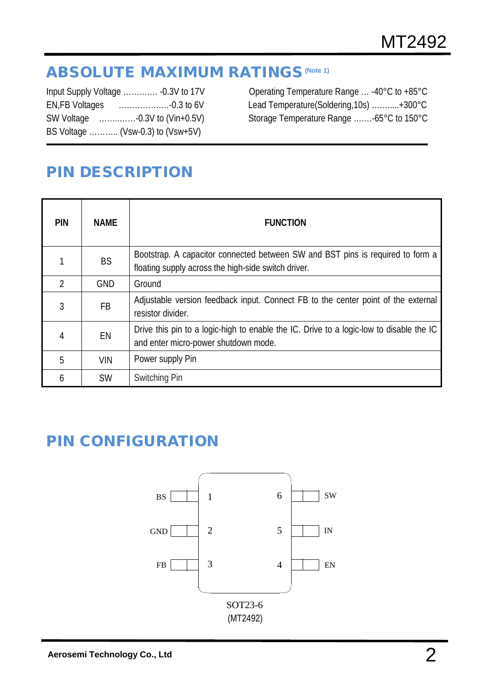## **ABSOLUTE MAXIMUM RATINGS (Note 1)**

| Input Supply Voltage  -0.3V to 17V |
|------------------------------------|
|                                    |
|                                    |
| BS Voltage  (Vsw-0.3) to (Vsw+5V)  |
|                                    |

Operating Temperature Range ... -40°C to +85°C Lead Temperature(Soldering,10s) …………+300°C Storage Temperature Range …....-65°C to 150°C

## PIN DESCRIPTION

j

| <b>PIN</b> | <b>NAME</b> | <b>FUNCTION</b>                                                                                                                       |
|------------|-------------|---------------------------------------------------------------------------------------------------------------------------------------|
|            | <b>BS</b>   | Bootstrap. A capacitor connected between SW and BST pins is required to form a<br>floating supply across the high-side switch driver. |
| 2          | <b>GND</b>  | Ground                                                                                                                                |
| 3          | FB.         | Adjustable version feedback input. Connect FB to the center point of the external<br>resistor divider.                                |
| 4          | EN          | Drive this pin to a logic-high to enable the IC. Drive to a logic-low to disable the IC<br>and enter micro-power shutdown mode.       |
| 5          | <b>VIN</b>  | Power supply Pin                                                                                                                      |
| 6          | <b>SW</b>   | Switching Pin                                                                                                                         |

## PIN CONFIGURATION

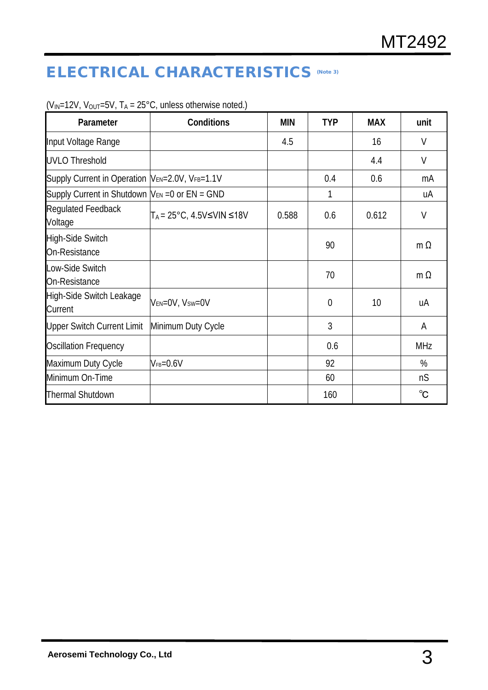## ELECTRICAL CHARACTERISTICS (Note 3)

| Parameter                                            | <b>Conditions</b>                                | <b>MIN</b> | <b>TYP</b>     | <b>MAX</b> | unit         |
|------------------------------------------------------|--------------------------------------------------|------------|----------------|------------|--------------|
| Input Voltage Range                                  |                                                  | 4.5        |                | 16         | V            |
| <b>UVLO Threshold</b>                                |                                                  |            |                | 4.4        | $\vee$       |
| Supply Current in Operation  VEN=2.0V, VFB=1.1V      |                                                  |            | 0.4            | 0.6        | mA           |
| Supply Current in Shutdown $ V_{EN}=0$ or $EN = GND$ |                                                  |            | 1              |            | uA           |
| <b>Regulated Feedback</b><br>Voltage                 | $T_A = 25^{\circ}$ C, 4.5V $\leq$ VIN $\leq$ 18V | 0.588      | 0.6            | 0.612      | $\vee$       |
| High-Side Switch<br>On-Resistance                    |                                                  |            | 90             |            | m $\Omega$   |
| Low-Side Switch<br>On-Resistance                     |                                                  |            | 70             |            | $m \Omega$   |
| <b>High-Side Switch Leakage</b><br>Current           | VEN=0V, Vsw=0V                                   |            | $\overline{0}$ | 10         | иA           |
| <b>Upper Switch Current Limit</b>                    | Minimum Duty Cycle                               |            | 3              |            | A            |
| <b>Oscillation Frequency</b>                         |                                                  |            | 0.6            |            | <b>MHz</b>   |
| Maximum Duty Cycle                                   | $V_{FB} = 0.6V$                                  |            | 92             |            | %            |
| Minimum On-Time                                      |                                                  |            | 60             |            | nS           |
| <b>Thermal Shutdown</b>                              |                                                  |            | 160            |            | $^{\circ}$ C |

( $V_{IN}$ =12V,  $V_{OUT}$ =5V, T<sub>A</sub> = 25°C, unless otherwise noted.)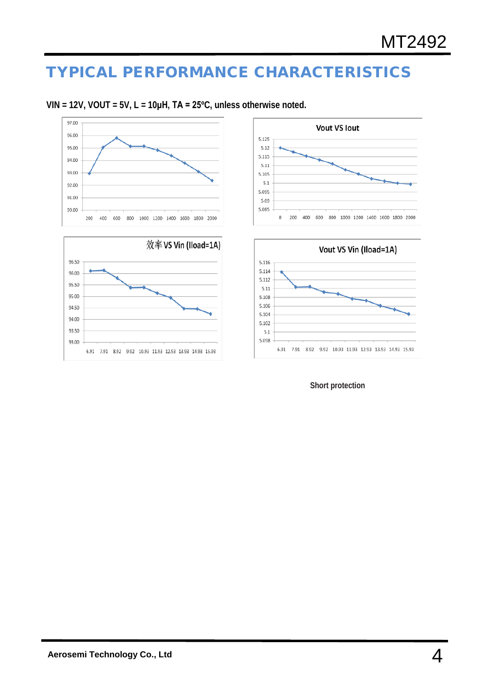## TYPICAL PERFORMANCE CHARACTERISTICS











#### **Short protection**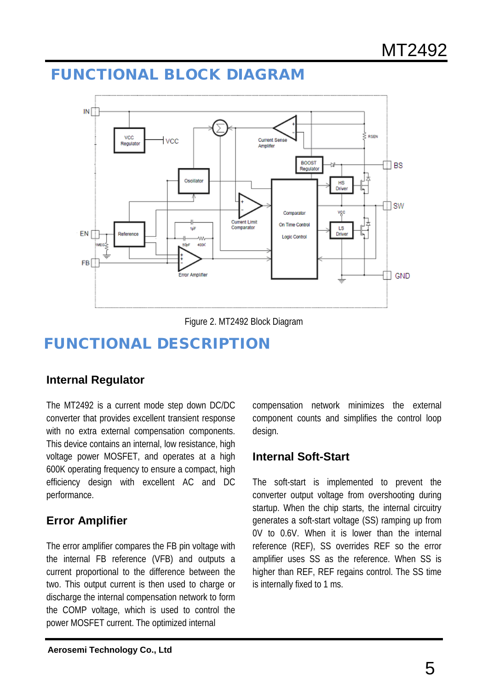## FUNCTIONAL BLOCK DIAGRAM





# FUNCTIONAL DESCRIPTION

### **Internal Regulator**

The MT2492 is a current mode step down DC/DC converter that provides excellent transient response with no extra external compensation components. This device contains an internal, low resistance, high voltage power MOSFET, and operates at a high 600K operating frequency to ensure a compact, high efficiency design with excellent AC and DC performance.

### **Error Amplifier**

The error amplifier compares the FB pin voltage with the internal FB reference (VFB) and outputs a current proportional to the difference between the two. This output current is then used to charge or discharge the internal compensation network to form the COMP voltage, which is used to control the power MOSFET current. The optimized internal

compensation network minimizes the external component counts and simplifies the control loop design.

### **Internal Soft-Start**

The soft-start is implemented to prevent the converter output voltage from overshooting during startup. When the chip starts, the internal circuitry generates a soft-start voltage (SS) ramping up from 0V to 0.6V. When it is lower than the internal reference (REF), SS overrides REF so the error amplifier uses SS as the reference. When SS is higher than REF, REF regains control. The SS time is internally fixed to 1 ms.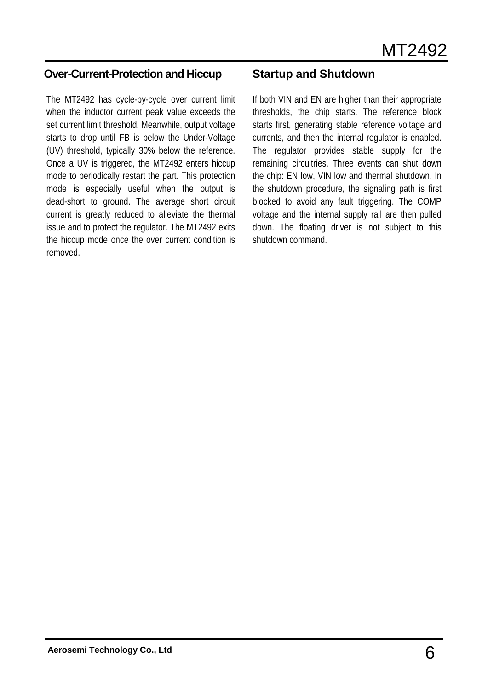#### **Over-Current-Protection and Hiccup**

The MT2492 has cycle-by-cycle over current limit when the inductor current peak value exceeds the set current limit threshold. Meanwhile, output voltage starts to drop until FB is below the Under-Voltage (UV) threshold, typically 30% below the reference. Once a UV is triggered, the MT2492 enters hiccup mode to periodically restart the part. This protection mode is especially useful when the output is dead-short to ground. The average short circuit current is greatly reduced to alleviate the thermal issue and to protect the regulator. The MT2492 exits the hiccup mode once the over current condition is removed.

### **Startup and Shutdown**

If both VIN and EN are higher than their appropriate thresholds, the chip starts. The reference block starts first, generating stable reference voltage and currents, and then the internal regulator is enabled. The regulator provides stable supply for the remaining circuitries. Three events can shut down the chip: EN low, VIN low and thermal shutdown. In the shutdown procedure, the signaling path is first blocked to avoid any fault triggering. The COMP voltage and the internal supply rail are then pulled down. The floating driver is not subject to this shutdown command.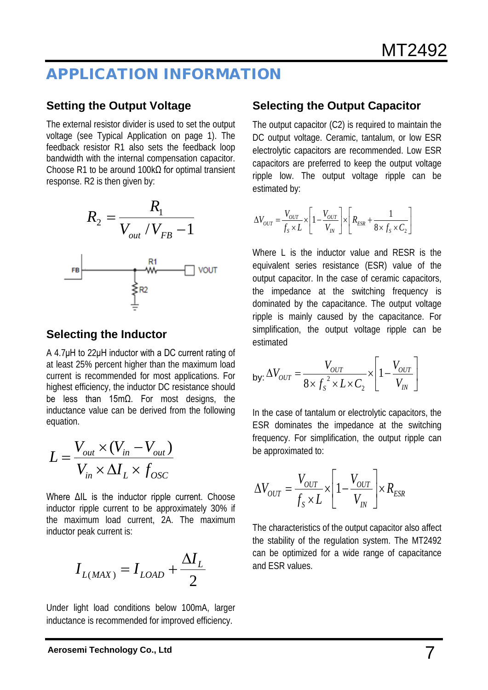## APPLICATION INFORMATION

### **Setting the Output Voltage**

The external resistor divider is used to set the output voltage (see Typical Application on page 1). The feedback resistor R1 also sets the feedback loop bandwidth with the internal compensation capacitor. Choose R1 to be around 100kΩ for optimal transient response. R2 is then given by:



### **Selecting the Inductor**

A 4.7μH to 22μH inductor with a DC current rating of at least 25% percent higher than the maximum load current is recommended for most applications. For highest efficiency, the inductor DC resistance should be less than 15mΩ. For most designs, the inductance value can be derived from the following equation.

$$
L = \frac{V_{out} \times (V_{in} - V_{out})}{V_{in} \times \Delta I_L \times f_{OSC}}
$$

Where ΔIL is the inductor ripple current. Choose inductor ripple current to be approximately 30% if the maximum load current, 2A. The maximum inductor peak current is:

$$
I_{L(MAX)} = I_{LOAD} + \frac{\Delta I_L}{2}
$$

Under light load conditions below 100mA, larger inductance is recommended for improved efficiency.

### **Selecting the Output Capacitor**

The output capacitor (C2) is required to maintain the DC output voltage. Ceramic, tantalum, or low ESR electrolytic capacitors are recommended. Low ESR capacitors are preferred to keep the output voltage ripple low. The output voltage ripple can be estimated by:

$$
\Delta V_{OUT} = \frac{V_{OUT}}{f_s \times L} \times \left[1 - \frac{V_{OUT}}{V_{IN}}\right] \times \left[R_{ESR} + \frac{1}{8 \times f_s \times C_2}\right]
$$

Where L is the inductor value and RESR is the equivalent series resistance (ESR) value of the output capacitor. In the case of ceramic capacitors, the impedance at the switching frequency is dominated by the capacitance. The output voltage ripple is mainly caused by the capacitance. For simplification, the output voltage ripple can be estimated

$$
\mathsf{by:}\,\Delta V_{OUT} = \frac{V_{OUT}}{8 \times f_s^2 \times L \times C_2} \times \left[1 - \frac{V_{OUT}}{V_{IN}}\right]
$$

In the case of tantalum or electrolytic capacitors, the ESR dominates the impedance at the switching frequency. For simplification, the output ripple can be approximated to:

$$
\Delta V_{OUT} = \frac{V_{OUT}}{f_s \times L} \times \left[1 - \frac{V_{OUT}}{V_{IN}}\right] \times R_{ESR}
$$

The characteristics of the output capacitor also affect the stability of the regulation system. The MT2492 can be optimized for a wide range of capacitance and ESR values.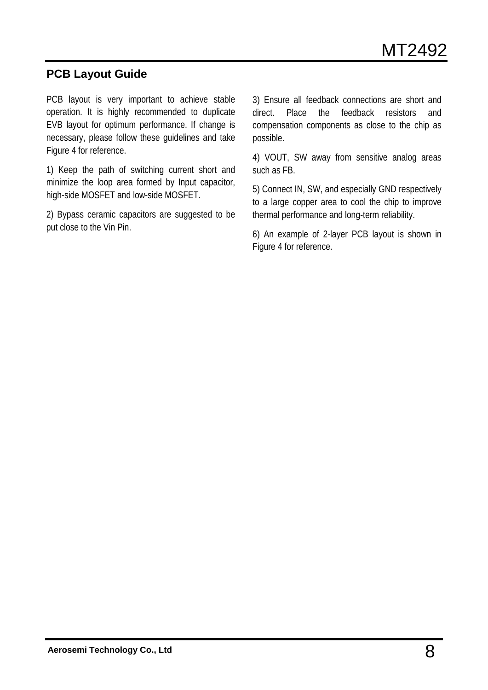### **PCB Layout Guide**

PCB layout is very important to achieve stable operation. It is highly recommended to duplicate EVB layout for optimum performance. If change is necessary, please follow these guidelines and take Figure 4 for reference.

1) Keep the path of switching current short and minimize the loop area formed by Input capacitor, high-side MOSFET and low-side MOSFET.

2) Bypass ceramic capacitors are suggested to be put close to the Vin Pin.

3) Ensure all feedback connections are short and direct. Place the feedback resistors and compensation components as close to the chip as possible.

4) VOUT, SW away from sensitive analog areas such as FB.

5) Connect IN, SW, and especially GND respectively to a large copper area to cool the chip to improve thermal performance and long-term reliability.

6) An example of 2-layer PCB layout is shown in Figure 4 for reference.